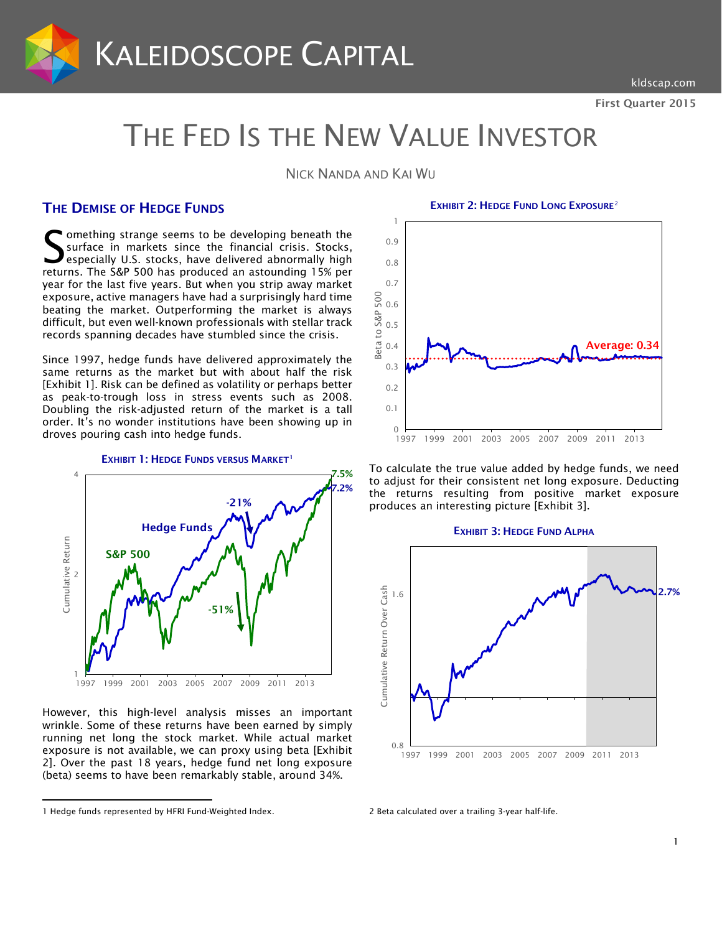

# THE FED IS THE NEW VALUE INVESTOR

NICK NANDA AND KAI WU

# THE DEMISE OF HEDGE FUNDS

omething strange seems to be developing beneath the surface in markets since the financial crisis. Stocks, especially U.S. stocks, have delivered abnormally high Something strange seems to be developing beneath the surface in markets since the financial crisis. Stocks, especially U.S. stocks, have delivered abnormally high returns. The S&P 500 has produced an astounding 15% per year for the last five years. But when you strip away market exposure, active managers have had a surprisingly hard time beating the market. Outperforming the market is always difficult, but even well-known professionals with stellar track records spanning decades have stumbled since the crisis.

Since 1997, hedge funds have delivered approximately the same returns as the market but with about half the risk [Exhibit 1]. Risk can be defined as volatility or perhaps better as peak-to-trough loss in stress events such as 2008. Doubling the risk-adjusted return of the market is a tall order. It's no wonder institutions have been showing up in droves pouring cash into hedge funds.



However, this high-level analysis misses an important wrinkle. Some of these returns have been earned by simply running net long the stock market. While actual market exposure is not available, we can proxy using beta [Exhibit 2]. Over the past 18 years, hedge fund net long exposure (beta) seems to have been remarkably stable, around 34%.

l

EXHIBIT [2](#page-0-0): HEDGE FUND LONG EXPOSURE<sup>2</sup>



To calculate the true value added by hedge funds, we need to adjust for their consistent net long exposure. Deducting the returns resulting from positive market exposure produces an interesting picture [Exhibit 3].



2 Beta calculated over a trailing 3-year half-life.

<span id="page-0-0"></span><sup>1</sup> Hedge funds represented by HFRI Fund-Weighted Index.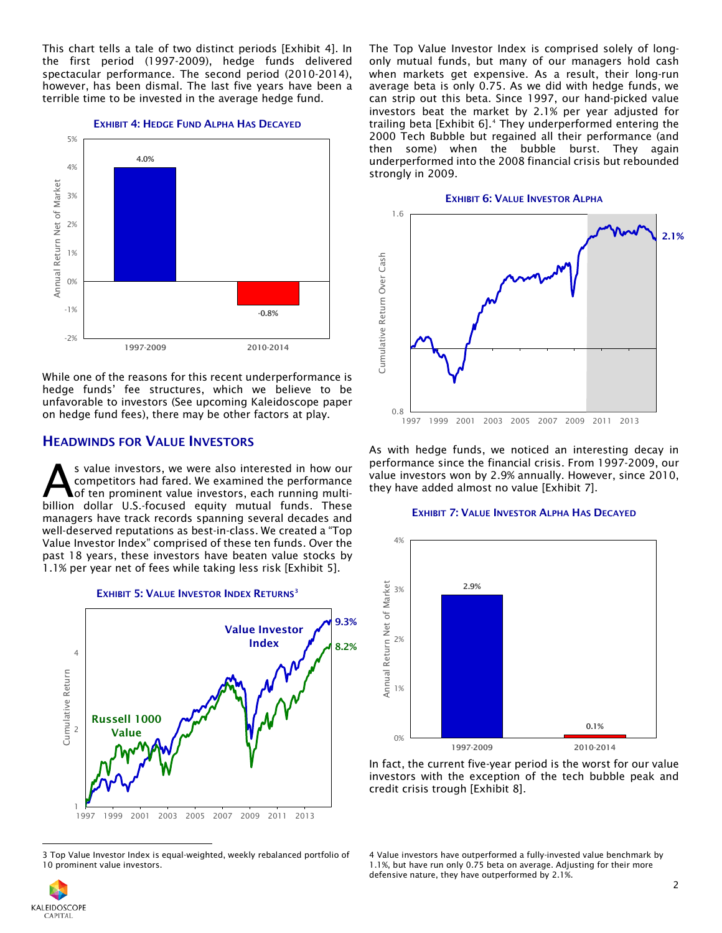This chart tells a tale of two distinct periods [Exhibit 4]. In the first period (1997-2009), hedge funds delivered spectacular performance. The second period (2010-2014), however, has been dismal. The last five years have been a terrible time to be invested in the average hedge fund.

#### EXHIBIT 4: HEDGE FUND ALPHA HAS DECAYED



While one of the reasons for this recent underperformance is hedge funds' fee structures, which we believe to be unfavorable to investors (See upcoming Kaleidoscope paper on hedge fund fees), there may be other factors at play.

## HEADWINDS FOR VALUE INVESTORS

s value investors, we were also interested in how our competitors had fared. We examined the performance of ten prominent value investors, each running multi-S value investors, we were also interested in how our competitors had fared. We examined the performance of ten prominent value investors, each running multi-<br>billion dollar U.S.-focused equity mutual funds. These managers have track records spanning several decades and well-deserved reputations as best-in-class. We created a "Top Value Investor Index" comprised of these ten funds. Over the past 18 years, these investors have beaten value stocks by 1.1% per year net of fees while taking less risk [Exhibit 5].



<sup>3</sup> Top Value Investor Index is equal-weighted, weekly rebalanced portfolio of 10 prominent value investors.

The Top Value Investor Index is comprised solely of longonly mutual funds, but many of our managers hold cash when markets get expensive. As a result, their long-run average beta is only 0.75. As we did with hedge funds, we can strip out this beta. Since 1997, our hand-picked value investors beat the market by 2.1% per year adjusted for trailing beta [Exhibit 6]. [4](#page-1-0) They underperformed entering the 2000 Tech Bubble but regained all their performance (and then some) when the bubble burst. They again underperformed into the 2008 financial crisis but rebounded strongly in 2009.



As with hedge funds, we noticed an interesting decay in performance since the financial crisis. From 1997-2009, our value investors won by 2.9% annually. However, since 2010, they have added almost no value [Exhibit 7].

## EXHIBIT 7: VALUE INVESTOR ALPHA HAS DECAYED



In fact, the current five-year period is the worst for our value investors with the exception of the tech bubble peak and credit crisis trough [Exhibit 8].

<span id="page-1-0"></span>

 $\overline{\phantom{a}}$ 

<sup>4</sup> Value investors have outperformed a fully-invested value benchmark by 1.1%, but have run only 0.75 beta on average. Adjusting for their more defensive nature, they have outperformed by 2.1%.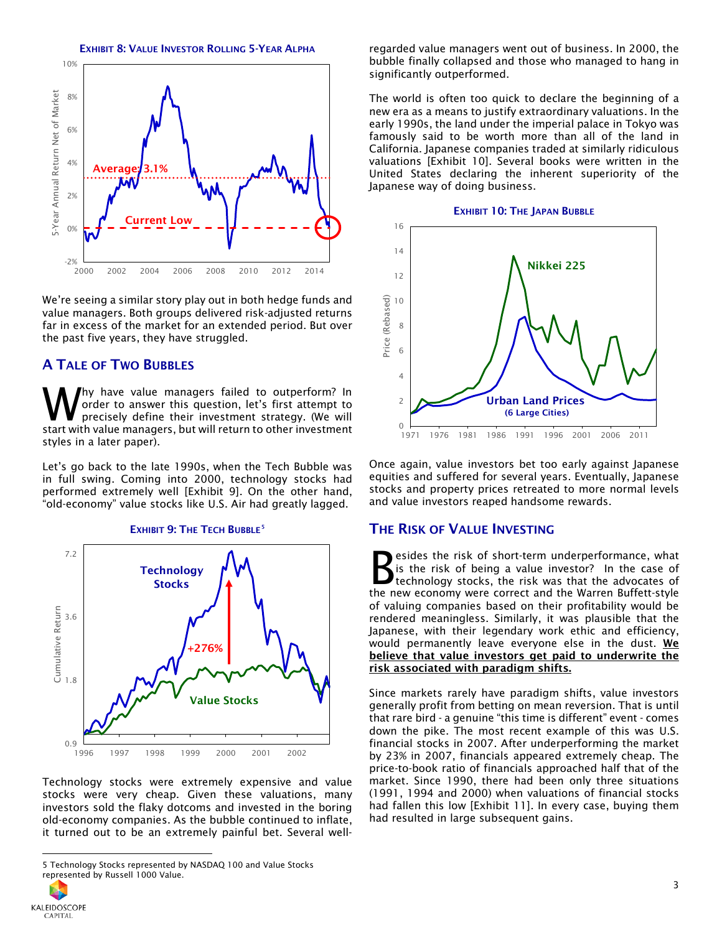

We're seeing a similar story play out in both hedge funds and value managers. Both groups delivered risk-adjusted returns far in excess of the market for an extended period. But over the past five years, they have struggled.

## A TALE OF TWO BUBBLES

hy have value managers failed to outperform? In order to answer this question, let's first attempt to precisely define their investment strategy. (We will **W** have value managers failed to outperform? In order to answer this question, let's first attempt to precisely define their investment strategy. (We will start with value managers, but will return to other investment styles in a later paper).

Let's go back to the late 1990s, when the Tech Bubble was in full swing. Coming into 2000, technology stocks had performed extremely well [Exhibit 9]. On the other hand, "old-economy" value stocks like U.S. Air had greatly lagged.

## EXHIBIT 9: THE TECH BUBBLE<sup>[5](#page-2-0)</sup>



Technology stocks were extremely expensive and value stocks were very cheap. Given these valuations, many investors sold the flaky dotcoms and invested in the boring old-economy companies. As the bubble continued to inflate, it turned out to be an extremely painful bet. Several wellregarded value managers went out of business. In 2000, the bubble finally collapsed and those who managed to hang in significantly outperformed.

The world is often too quick to declare the beginning of a new era as a means to justify extraordinary valuations. In the early 1990s, the land under the imperial palace in Tokyo was famously said to be worth more than all of the land in California. Japanese companies traded at similarly ridiculous valuations [Exhibit 10]. Several books were written in the United States declaring the inherent superiority of the Japanese way of doing business.

#### EXHIBIT 10: THE JAPAN BUBBLE



Once again, value investors bet too early against Japanese equities and suffered for several years. Eventually, Japanese stocks and property prices retreated to more normal levels and value investors reaped handsome rewards.

## THE RISK OF VALUE INVESTING

esides the risk of short-term underperformance, what is the risk of being a value investor? In the case of technology stocks, the risk was that the advocates of Social extend in the new economy were correct and the Warren Buffett-style the new economy were correct and the Warren Buffett-style of valuing companies based on their profitability would be rendered meaningless. Similarly, it was plausible that the Japanese, with their legendary work ethic and efficiency, would permanently leave everyone else in the dust. We believe that value investors get paid to underwrite the risk associated with paradigm shifts.

Since markets rarely have paradigm shifts, value investors generally profit from betting on mean reversion. That is until that rare bird - a genuine "this time is different" event - comes down the pike. The most recent example of this was U.S. financial stocks in 2007. After underperforming the market by 23% in 2007, financials appeared extremely cheap. The price-to-book ratio of financials approached half that of the market. Since 1990, there had been only three situations (1991, 1994 and 2000) when valuations of financial stocks had fallen this low [Exhibit 11]. In every case, buying them had resulted in large subsequent gains.

<span id="page-2-0"></span>

 $\overline{\phantom{a}}$ 

<sup>5</sup> Technology Stocks represented by NASDAQ 100 and Value Stocks represented by Russell 1000 Value.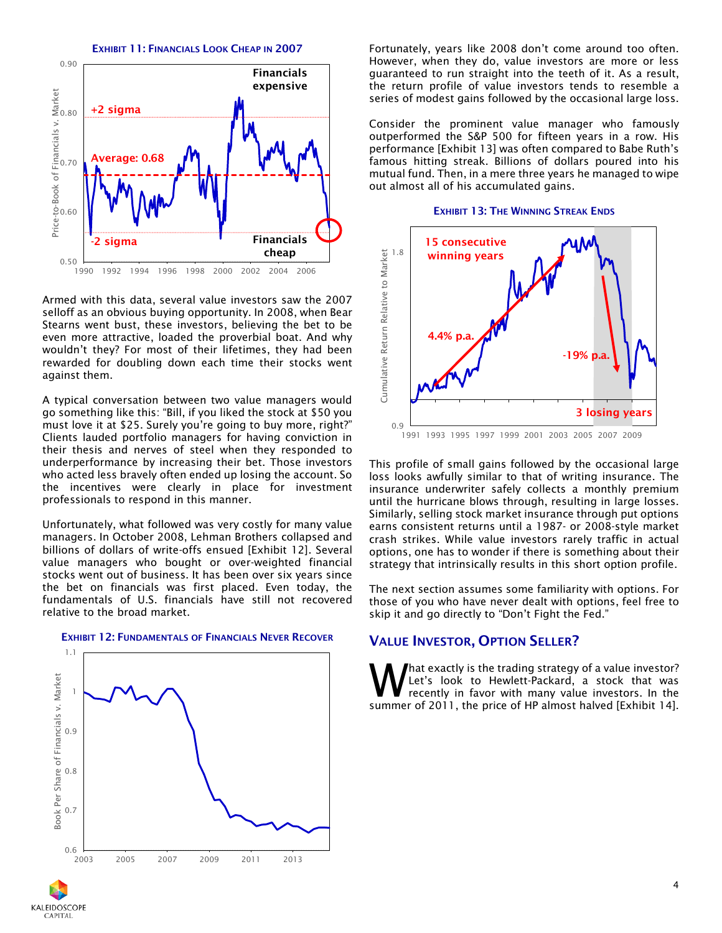EXHIBIT 11: FINANCIALS LOOK CHEAP IN 2007



Armed with this data, several value investors saw the 2007 selloff as an obvious buying opportunity. In 2008, when Bear Stearns went bust, these investors, believing the bet to be even more attractive, loaded the proverbial boat. And why wouldn't they? For most of their lifetimes, they had been rewarded for doubling down each time their stocks went against them.

A typical conversation between two value managers would go something like this: "Bill, if you liked the stock at \$50 you must love it at \$25. Surely you're going to buy more, right?" Clients lauded portfolio managers for having conviction in their thesis and nerves of steel when they responded to underperformance by increasing their bet. Those investors who acted less bravely often ended up losing the account. So the incentives were clearly in place for investment professionals to respond in this manner.

Unfortunately, what followed was very costly for many value managers. In October 2008, Lehman Brothers collapsed and billions of dollars of write-offs ensued [Exhibit 12]. Several value managers who bought or over-weighted financial stocks went out of business. It has been over six years since the bet on financials was first placed. Even today, the fundamentals of U.S. financials have still not recovered relative to the broad market.



**KALEIDOSCOPE CAPITAL** 

#### EXHIBIT 12: FUNDAMENTALS OF FINANCIALS NEVER RECOVER

Fortunately, years like 2008 don't come around too often. However, when they do, value investors are more or less guaranteed to run straight into the teeth of it. As a result, the return profile of value investors tends to resemble a series of modest gains followed by the occasional large loss.

Consider the prominent value manager who famously outperformed the S&P 500 for fifteen years in a row. His performance [Exhibit 13] was often compared to Babe Ruth's famous hitting streak. Billions of dollars poured into his mutual fund. Then, in a mere three years he managed to wipe out almost all of his accumulated gains.





This profile of small gains followed by the occasional large loss looks awfully similar to that of writing insurance. The insurance underwriter safely collects a monthly premium until the hurricane blows through, resulting in large losses. Similarly, selling stock market insurance through put options earns consistent returns until a 1987- or 2008-style market crash strikes. While value investors rarely traffic in actual options, one has to wonder if there is something about their strategy that intrinsically results in this short option profile.

The next section assumes some familiarity with options. For those of you who have never dealt with options, feel free to skip it and go directly to "Don't Fight the Fed."

## VALUE INVESTOR, OPTION SELLER?

hat exactly is the trading strategy of a value investor? Let's look to Hewlett-Packard, a stock that was recently in favor with many value investors. In the **What exactly is the trading strategy of a value investor?**<br>Let's look to Hewlett-Packard, a stock that was<br>recently in favor with many value investors. In the<br>summer of 2011, the price of HP almost halved [Exhibit 14].

4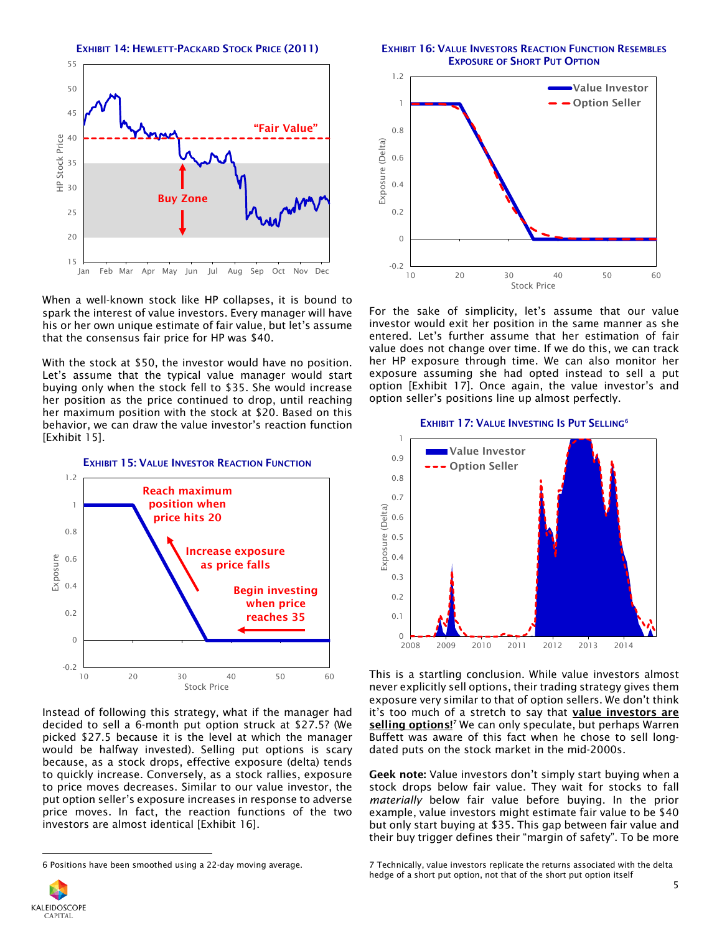

When a well-known stock like HP collapses, it is bound to spark the interest of value investors. Every manager will have his or her own unique estimate of fair value, but let's assume that the consensus fair price for HP was \$40.

With the stock at \$50, the investor would have no position. Let's assume that the typical value manager would start buying only when the stock fell to \$35. She would increase her position as the price continued to drop, until reaching her maximum position with the stock at \$20. Based on this behavior, we can draw the value investor's reaction function [Exhibit 15].



Instead of following this strategy, what if the manager had decided to sell a 6-month put option struck at \$27.5? (We picked \$27.5 because it is the level at which the manager would be halfway invested). Selling put options is scary because, as a stock drops, effective exposure (delta) tends to quickly increase. Conversely, as a stock rallies, exposure to price moves decreases. Similar to our value investor, the put option seller's exposure increases in response to adverse price moves. In fact, the reaction functions of the two investors are almost identical [Exhibit 16].

EXHIBIT 16: VALUE INVESTORS REACTION FUNCTION RESEMBLES EXPOSURE OF SHORT PUT OPTION



For the sake of simplicity, let's assume that our value investor would exit her position in the same manner as she entered. Let's further assume that her estimation of fair value does not change over time. If we do this, we can track her HP exposure through time. We can also monitor her exposure assuming she had opted instead to sell a put option [Exhibit 17]. Once again, the value investor's and option seller's positions line up almost perfectly.



This is a startling conclusion. While value investors almost never explicitly sell options, their trading strategy gives them exposure very similar to that of option sellers. We don't think it's too much of a stretch to say that value investors are selling options!<sup>7</sup> We can only speculate, but perhaps Warren Buffett was aware of this fact when he chose to sell long-

Geek note: Value investors don't simply start buying when a stock drops below fair value. They wait for stocks to fall *materially* below fair value before buying. In the prior example, value investors might estimate fair value to be \$40 but only start buying at \$35. This gap between fair value and their buy trigger defines their "margin of safety". To be more

dated puts on the stock market in the mid-2000s.

<span id="page-4-0"></span>

 $\overline{\phantom{a}}$ 

## EXHIBIT 17: VALUE INVESTING IS PUT SELLING<sup>[6](#page-4-0)</sup>

<sup>6</sup> Positions have been smoothed using a 22-day moving average.

<sup>7</sup> Technically, value investors replicate the returns associated with the delta hedge of a short put option, not that of the short put option itself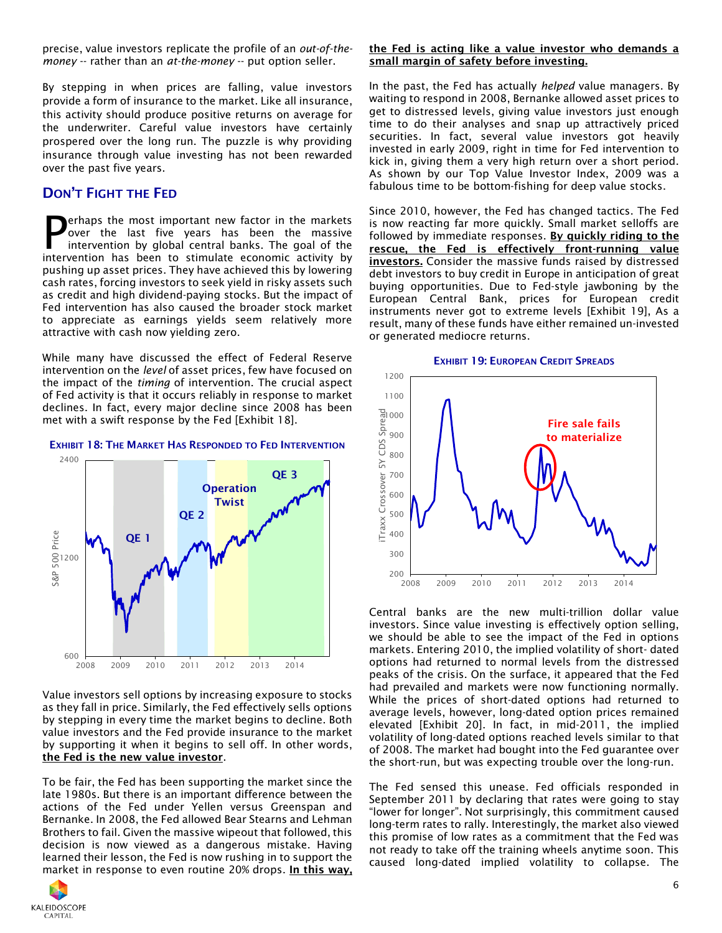precise, value investors replicate the profile of an *out-of-themoney* -- rather than an *at-the-money* -- put option seller.

By stepping in when prices are falling, value investors provide a form of insurance to the market. Like all insurance, this activity should produce positive returns on average for the underwriter. Careful value investors have certainly prospered over the long run. The puzzle is why providing insurance through value investing has not been rewarded over the past five years.

# DON'T FIGHT THE FED

erhaps the most important new factor in the markets over the last five years has been the massive intervention by global central banks. The goal of the **P**erhaps the most important new factor in the markets<br>over the last five years has been the massive<br>intervention has been to stimulate economic activity by pushing up asset prices. They have achieved this by lowering cash rates, forcing investors to seek yield in risky assets such as credit and high dividend-paying stocks. But the impact of Fed intervention has also caused the broader stock market to appreciate as earnings yields seem relatively more attractive with cash now yielding zero.

While many have discussed the effect of Federal Reserve intervention on the *level* of asset prices, few have focused on the impact of the *timing* of intervention. The crucial aspect of Fed activity is that it occurs reliably in response to market declines. In fact, every major decline since 2008 has been met with a swift response by the Fed [Exhibit 18].



#### EXHIBIT 18: THE MARKET HAS RESPONDED TO FED INTERVENTION

Value investors sell options by increasing exposure to stocks as they fall in price. Similarly, the Fed effectively sells options by stepping in every time the market begins to decline. Both value investors and the Fed provide insurance to the market by supporting it when it begins to sell off. In other words, the Fed is the new value investor.

To be fair, the Fed has been supporting the market since the late 1980s. But there is an important difference between the actions of the Fed under Yellen versus Greenspan and Bernanke. In 2008, the Fed allowed Bear Stearns and Lehman Brothers to fail. Given the massive wipeout that followed, this decision is now viewed as a dangerous mistake. Having learned their lesson, the Fed is now rushing in to support the market in response to even routine 20% drops. In this way,



#### the Fed is acting like a value investor who demands a small margin of safety before investing.

In the past, the Fed has actually *helped* value managers. By waiting to respond in 2008, Bernanke allowed asset prices to get to distressed levels, giving value investors just enough time to do their analyses and snap up attractively priced securities. In fact, several value investors got heavily invested in early 2009, right in time for Fed intervention to kick in, giving them a very high return over a short period. As shown by our Top Value Investor Index, 2009 was a fabulous time to be bottom-fishing for deep value stocks.

Since 2010, however, the Fed has changed tactics. The Fed is now reacting far more quickly. Small market selloffs are followed by immediate responses. By quickly riding to the rescue, the Fed is effectively front-running value investors. Consider the massive funds raised by distressed debt investors to buy credit in Europe in anticipation of great buying opportunities. Due to Fed-style jawboning by the European Central Bank, prices for European credit instruments never got to extreme levels [Exhibit 19], As a result, many of these funds have either remained un-invested or generated mediocre returns.





Central banks are the new multi-trillion dollar value investors. Since value investing is effectively option selling, we should be able to see the impact of the Fed in options markets. Entering 2010, the implied volatility of short- dated options had returned to normal levels from the distressed peaks of the crisis. On the surface, it appeared that the Fed had prevailed and markets were now functioning normally. While the prices of short-dated options had returned to average levels, however, long-dated option prices remained elevated [Exhibit 20]. In fact, in mid-2011, the implied volatility of long-dated options reached levels similar to that of 2008. The market had bought into the Fed guarantee over the short-run, but was expecting trouble over the long-run.

The Fed sensed this unease. Fed officials responded in September 2011 by declaring that rates were going to stay "lower for longer". Not surprisingly, this commitment caused long-term rates to rally. Interestingly, the market also viewed this promise of low rates as a commitment that the Fed was not ready to take off the training wheels anytime soon. This caused long-dated implied volatility to collapse. The